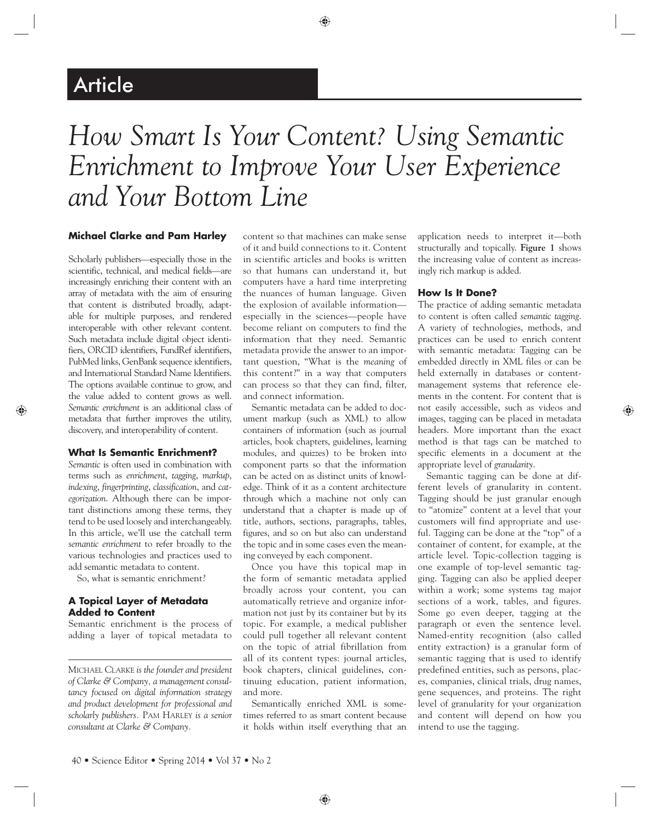## Article

# *How Smart Is Your Content? Using Semantic Enrichment to Improve Your User Experience and Your Bottom Line*

#### **Michael Clarke and Pam Harley**

Scholarly publishers—especially those in the scientific, technical, and medical fields—are increasingly enriching their content with an array of metadata with the aim of ensuring that content is distributed broadly, adaptable for multiple purposes, and rendered interoperable with other relevant content. Such metadata include digital object identifiers, ORCID identifiers, FundRef identifiers, PubMed links, GenBank sequence identifiers, and International Standard Name Identifiers. The options available continue to grow, and the value added to content grows as well. *Semantic enrichment* is an additional class of metadata that further improves the utility, discovery, and interoperability of content.

#### **What Is Semantic Enrichment?**

*Semantic* is often used in combination with terms such as *enrichment*, *tagging*, *markup*, *indexing*, *fingerprinting*, *classification*, and *categorization*. Although there can be important distinctions among these terms, they tend to be used loosely and interchangeably. In this article, we'll use the catchall term *semantic enrichment* to refer broadly to the various technologies and practices used to add semantic metadata to content.

So, what is semantic enrichment?

#### **A Topical Layer of Metadata Added to Content**

Semantic enrichment is the process of adding a layer of topical metadata to

content so that machines can make sense of it and build connections to it. Content in scientific articles and books is written so that humans can understand it, but computers have a hard time interpreting the nuances of human language. Given the explosion of available information especially in the sciences—people have become reliant on computers to find the information that they need. Semantic metadata provide the answer to an important question, "What is the *meaning* of this content?" in a way that computers can process so that they can find, filter, and connect information.

Semantic metadata can be added to document markup (such as XML) to allow containers of information (such as journal articles, book chapters, guidelines, learning modules, and quizzes) to be broken into component parts so that the information can be acted on as distinct units of knowledge. Think of it as a content architecture through which a machine not only can understand that a chapter is made up of title, authors, sections, paragraphs, tables, figures, and so on but also can understand the topic and in some cases even the meaning conveyed by each component.

Once you have this topical map in the form of semantic metadata applied broadly across your content, you can automatically retrieve and organize information not just by its container but by its topic. For example, a medical publisher could pull together all relevant content on the topic of atrial fibrillation from all of its content types: journal articles, book chapters, clinical guidelines, continuing education, patient information, and more.

Semantically enriched XML is sometimes referred to as smart content because it holds within itself everything that an application needs to interpret it—both structurally and topically. **Figure 1** shows the increasing value of content as increasingly rich markup is added.

#### **How Is It Done?**

The practice of adding semantic metadata to content is often called *semantic tagging*. A variety of technologies, methods, and practices can be used to enrich content with semantic metadata: Tagging can be embedded directly in XML files or can be held externally in databases or contentmanagement systems that reference elements in the content. For content that is not easily accessible, such as videos and images, tagging can be placed in metadata headers. More important than the exact method is that tags can be matched to specific elements in a document at the appropriate level of *granularity*.

Semantic tagging can be done at different levels of granularity in content. Tagging should be just granular enough to "atomize" content at a level that your customers will find appropriate and useful. Tagging can be done at the "top" of a container of content, for example, at the article level. Topic-collection tagging is one example of top-level semantic tagging. Tagging can also be applied deeper within a work; some systems tag major sections of a work, tables, and figures. Some go even deeper, tagging at the paragraph or even the sentence level. Named-entity recognition (also called entity extraction) is a granular form of semantic tagging that is used to identify predefined entities, such as persons, places, companies, clinical trials, drug names, gene sequences, and proteins. The right level of granularity for your organization and content will depend on how you intend to use the tagging.

MICHAEL CLARKE *is the founder and president of Clarke & Company, a management consultancy focused on digital information strategy and product development for professional and scholarly publishers.* PAM HARLEY *is a senior consultant at Clarke & Company.*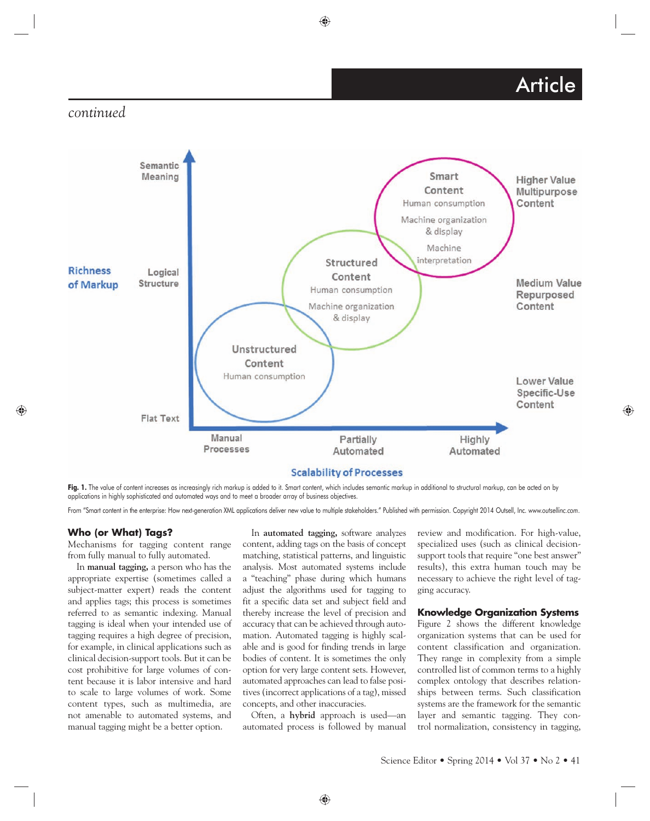### Article

### *continued*



Fig. 1. The value of content increases as increasingly rich markup is added to it. Smart content, which includes semantic markup in additional to structural markup, can be acted on by applications in highly sophisticated and automated ways and to meet a broader array of business objectives.

From "Smart content in the enterprise: How next-generation XML applications deliver new value to multiple stakeholders." Published with permission. Copyright 2014 Outsell, Inc. *www.outsellinc.com*.

#### **Who (or What) Tags?**

Mechanisms for tagging content range from fully manual to fully automated.

In **manual tagging,** a person who has the appropriate expertise (sometimes called a subject-matter expert) reads the content and applies tags; this process is sometimes referred to as semantic indexing. Manual tagging is ideal when your intended use of tagging requires a high degree of precision, for example, in clinical applications such as clinical decision-support tools. But it can be cost prohibitive for large volumes of content because it is labor intensive and hard to scale to large volumes of work. Some content types, such as multimedia, are not amenable to automated systems, and manual tagging might be a better option.

In **automated tagging,** software analyzes content, adding tags on the basis of concept matching, statistical patterns, and linguistic analysis. Most automated systems include a "teaching" phase during which humans adjust the algorithms used for tagging to fit a specific data set and subject field and thereby increase the level of precision and accuracy that can be achieved through automation. Automated tagging is highly scalable and is good for finding trends in large bodies of content. It is sometimes the only option for very large content sets. However, automated approaches can lead to false positives (incorrect applications of a tag), missed concepts, and other inaccuracies.

Often, a **hybrid** approach is used—an automated process is followed by manual

review and modification. For high-value, specialized uses (such as clinical decisionsupport tools that require "one best answer" results), this extra human touch may be necessary to achieve the right level of tagging accuracy.

#### **Knowledge Organization Systems**

Figure 2 shows the different knowledge organization systems that can be used for content classification and organization. They range in complexity from a simple controlled list of common terms to a highly complex ontology that describes relationships between terms. Such classification systems are the framework for the semantic layer and semantic tagging. They control normalization, consistency in tagging,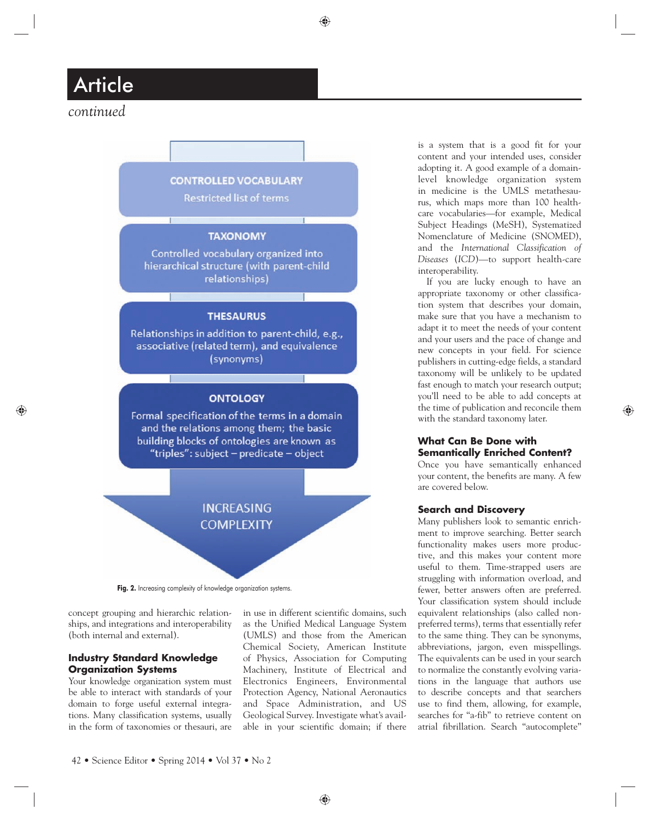# Article

#### **CONTROLLED VOCABULARY**

**Restricted list of terms** 

#### **TAXONOMY**

Controlled vocabulary organized into hierarchical structure (with parent-child relationships)

#### **THESAURUS**

Relationships in addition to parent-child, e.g., associative (related term), and equivalence (synonyms)

#### **ONTOLOGY**

Formal specification of the terms in a domain and the relations among them; the basic building blocks of ontologies are known as "triples": subject - predicate - object

> **INCREASING COMPLEXITY**

Fig. 2. Increasing complexity of knowledge organization systems.

 concept grouping and hierarchic relationships, and integrations and interoperability (both internal and external).

#### **Industry Standard Knowledge Organization Systems**

Your knowledge organization system must be able to interact with standards of your domain to forge useful external integrations. Many classification systems, usually in the form of taxonomies or thesauri, are in use in different scientific domains, such as the Unified Medical Language System (UMLS) and those from the American Chemical Society, American Institute of Physics, Association for Computing Machinery, Institute of Electrical and Electronics Engineers, Environmental Protection Agency, National Aeronautics and Space Administration, and US Geological Survey. Investigate what's available in your scientific domain; if there is a system that is a good fit for your content and your intended uses, consider adopting it. A good example of a domainlevel knowledge organization system in medicine is the UMLS metathesaurus, which maps more than 100 healthcare vocabularies—for example, Medical Subject Headings (MeSH), Systematized Nomenclature of Medicine (SNOMED), and the *International Classification of Diseases* (*ICD*)—to support health-care interoperability.

If you are lucky enough to have an appropriate taxonomy or other classification system that describes your domain, make sure that you have a mechanism to adapt it to meet the needs of your content and your users and the pace of change and new concepts in your field. For science publishers in cutting-edge fields, a standard taxonomy will be unlikely to be updated fast enough to match your research output; you'll need to be able to add concepts at the time of publication and reconcile them with the standard taxonomy later.

#### **What Can Be Done with Semantically Enriched Content?**

Once you have semantically enhanced your content, the benefits are many. A few are covered below.

#### **Search and Discovery**

Many publishers look to semantic enrichment to improve searching. Better search functionality makes users more productive, and this makes your content more useful to them. Time-strapped users are struggling with information overload, and fewer, better answers often are preferred. Your classification system should include equivalent relationships (also called nonpreferred terms), terms that essentially refer to the same thing. They can be synonyms, abbreviations, jargon, even misspellings. The equivalents can be used in your search to normalize the constantly evolving variations in the language that authors use to describe concepts and that searchers use to find them, allowing, for example, searches for "a-fib" to retrieve content on atrial fibrillation. Search "autocomplete"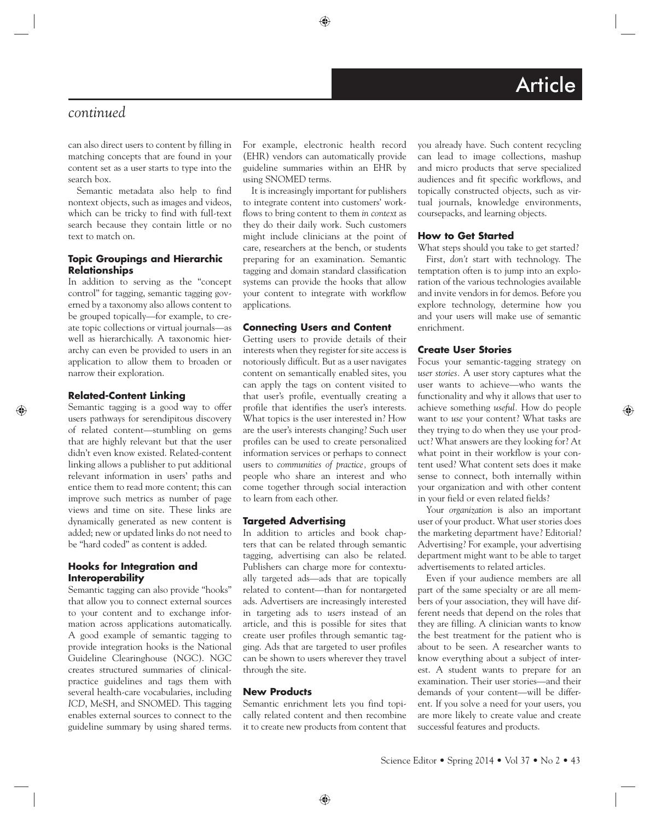### *continued*

can also direct users to content by filling in matching concepts that are found in your content set as a user starts to type into the search box.

Semantic metadata also help to find nontext objects, such as images and videos, which can be tricky to find with full-text search because they contain little or no text to match on.

#### **Topic Groupings and Hierarchic Relationships**

In addition to serving as the "concept control" for tagging, semantic tagging governed by a taxonomy also allows content to be grouped topically—for example, to create topic collections or virtual journals—as well as hierarchically. A taxonomic hierarchy can even be provided to users in an application to allow them to broaden or narrow their exploration.

#### **Related-Content Linking**

Semantic tagging is a good way to offer users pathways for serendipitous discovery of related content—stumbling on gems that are highly relevant but that the user didn't even know existed. Related-content linking allows a publisher to put additional relevant information in users' paths and entice them to read more content; this can improve such metrics as number of page views and time on site. These links are dynamically generated as new content is added; new or updated links do not need to be "hard coded" as content is added.

#### **Hooks for Integration and Interoperability**

Semantic tagging can also provide "hooks" that allow you to connect external sources to your content and to exchange information across applications automatically. A good example of semantic tagging to provide integration hooks is the National Guideline Clearinghouse (NGC). NGC creates structured summaries of clinicalpractice guidelines and tags them with several health-care vocabularies, including *ICD*, MeSH, and SNOMED. This tagging enables external sources to connect to the guideline summary by using shared terms.

For example, electronic health record (EHR) vendors can automatically provide guideline summaries within an EHR by using SNOMED terms.

It is increasingly important for publishers to integrate content into customers' workflows to bring content to them *in context* as they do their daily work. Such customers might include clinicians at the point of care, researchers at the bench, or students preparing for an examination. Semantic tagging and domain standard classification systems can provide the hooks that allow your content to integrate with workflow applications.

#### **Connecting Users and Content**

Getting users to provide details of their interests when they register for site access is notoriously difficult. But as a user navigates content on semantically enabled sites, you can apply the tags on content visited to that user's profile, eventually creating a profile that identifies the user's interests. What topics is the user interested in? How are the user's interests changing? Such user profiles can be used to create personalized information services or perhaps to connect users to *communities of practice,* groups of people who share an interest and who come together through social interaction to learn from each other.

#### **Targeted Advertising**

In addition to articles and book chapters that can be related through semantic tagging, advertising can also be related. Publishers can charge more for contextually targeted ads—ads that are topically related to content—than for nontargeted ads. Advertisers are increasingly interested in targeting ads to *users* instead of an article, and this is possible for sites that create user profiles through semantic tagging. Ads that are targeted to user profiles can be shown to users wherever they travel through the site.

#### **New Products**

Semantic enrichment lets you find topically related content and then recombine it to create new products from content that you already have. Such content recycling can lead to image collections, mashup and micro products that serve specialized audiences and fit specific workflows, and topically constructed objects, such as virtual journals, knowledge environments, coursepacks, and learning objects.

#### **How to Get Started**

What steps should you take to get started?

First, *don't* start with technology. The temptation often is to jump into an exploration of the various technologies available and invite vendors in for demos. Before you explore technology, determine how you and your users will make use of semantic enrichment.

#### **Create User Stories**

Focus your semantic-tagging strategy on *user stories.* A user story captures what the user wants to achieve—who wants the functionality and why it allows that user to achieve something *useful.* How do people want to *use* your content? What tasks are they trying to do when they use your product? What answers are they looking for? At what point in their workflow is your content used? What content sets does it make sense to connect, both internally within your organization and with other content in your field or even related fields?

Your *organization* is also an important user of your product. What user stories does the marketing department have? Editorial? Advertising? For example, your advertising department might want to be able to target advertisements to related articles.

Even if your audience members are all part of the same specialty or are all members of your association, they will have different needs that depend on the roles that they are filling. A clinician wants to know the best treatment for the patient who is about to be seen. A researcher wants to know everything about a subject of interest. A student wants to prepare for an examination. Their user stories—and their demands of your content—will be different. If you solve a need for your users, you are more likely to create value and create successful features and products.